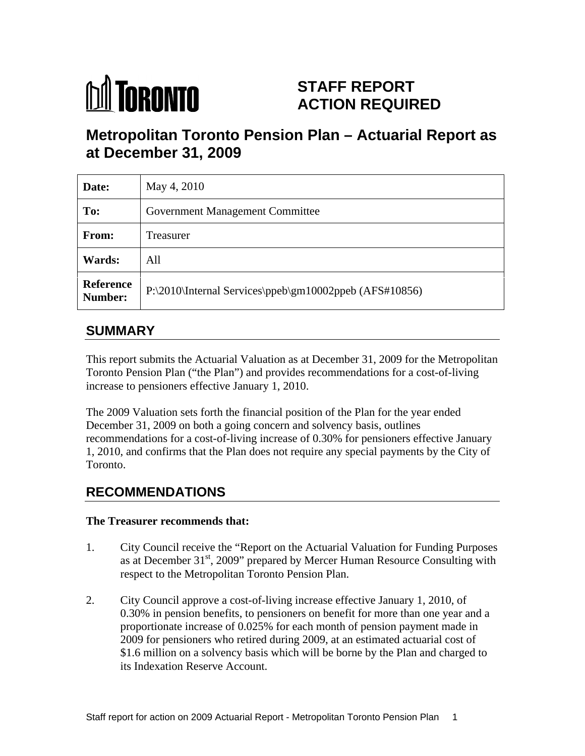

# **STAFF REPORT ACTION REQUIRED**

# **Metropolitan Toronto Pension Plan – Actuarial Report as at December 31, 2009**

| Date:                | May 4, 2010                                                    |
|----------------------|----------------------------------------------------------------|
| To:                  | <b>Government Management Committee</b>                         |
| From:                | Treasurer                                                      |
| Wards:               | All                                                            |
| Reference<br>Number: | $\vert$ P:\2010\Internal Services\ppeb\gm10002ppeb (AFS#10856) |

## **SUMMARY**

This report submits the Actuarial Valuation as at December 31, 2009 for the Metropolitan Toronto Pension Plan ("the Plan") and provides recommendations for a cost-of-living increase to pensioners effective January 1, 2010.

The 2009 Valuation sets forth the financial position of the Plan for the year ended December 31, 2009 on both a going concern and solvency basis, outlines recommendations for a cost-of-living increase of 0.30% for pensioners effective January 1, 2010, and confirms that the Plan does not require any special payments by the City of Toronto.

## **RECOMMENDATIONS**

#### **The Treasurer recommends that:**

- 1. City Council receive the "Report on the Actuarial Valuation for Funding Purposes as at December  $31<sup>st</sup>$ , 2009" prepared by Mercer Human Resource Consulting with respect to the Metropolitan Toronto Pension Plan.
- 2. City Council approve a cost-of-living increase effective January 1, 2010, of 0.30% in pension benefits, to pensioners on benefit for more than one year and a proportionate increase of 0.025% for each month of pension payment made in 2009 for pensioners who retired during 2009, at an estimated actuarial cost of \$1.6 million on a solvency basis which will be borne by the Plan and charged to its Indexation Reserve Account.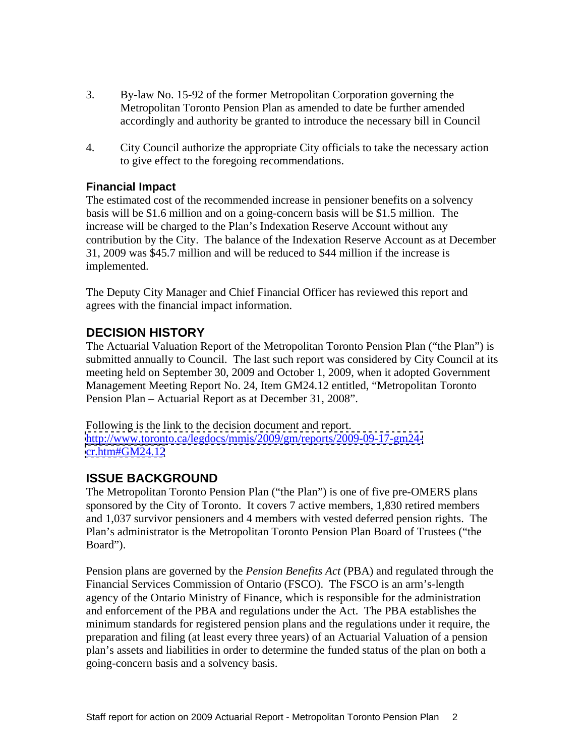- 3. By-law No. 15-92 of the former Metropolitan Corporation governing the Metropolitan Toronto Pension Plan as amended to date be further amended accordingly and authority be granted to introduce the necessary bill in Council
- 4. City Council authorize the appropriate City officials to take the necessary action to give effect to the foregoing recommendations.

#### **Financial Impact**

The estimated cost of the recommended increase in pensioner benefits on a solvency basis will be \$1.6 million and on a going-concern basis will be \$1.5 million. The increase will be charged to the Plan's Indexation Reserve Account without any contribution by the City. The balance of the Indexation Reserve Account as at December 31, 2009 was \$45.7 million and will be reduced to \$44 million if the increase is implemented.

The Deputy City Manager and Chief Financial Officer has reviewed this report and agrees with the financial impact information.

### **DECISION HISTORY**

The Actuarial Valuation Report of the Metropolitan Toronto Pension Plan ("the Plan") is submitted annually to Council. The last such report was considered by City Council at its meeting held on September 30, 2009 and October 1, 2009, when it adopted Government Management Meeting Report No. 24, Item GM24.12 entitled, "Metropolitan Toronto Pension Plan – Actuarial Report as at December 31, 2008".

Following is the link to the decision document and report. [http://www.toronto.ca/legdocs/mmis/2009/gm/reports/2009-09-17-gm24](http://www.toronto.ca/legdocs/mmis/2009/gm/reports/2009-09-17-gm24-) <cr.htm#GM24.12>

### **ISSUE BACKGROUND**

The Metropolitan Toronto Pension Plan ("the Plan") is one of five pre-OMERS plans sponsored by the City of Toronto. It covers 7 active members, 1,830 retired members and 1,037 survivor pensioners and 4 members with vested deferred pension rights. The Plan's administrator is the Metropolitan Toronto Pension Plan Board of Trustees ("the Board").

Pension plans are governed by the *Pension Benefits Act* (PBA) and regulated through the Financial Services Commission of Ontario (FSCO). The FSCO is an arm's-length agency of the Ontario Ministry of Finance, which is responsible for the administration and enforcement of the PBA and regulations under the Act. The PBA establishes the minimum standards for registered pension plans and the regulations under it require, the preparation and filing (at least every three years) of an Actuarial Valuation of a pension plan's assets and liabilities in order to determine the funded status of the plan on both a going-concern basis and a solvency basis.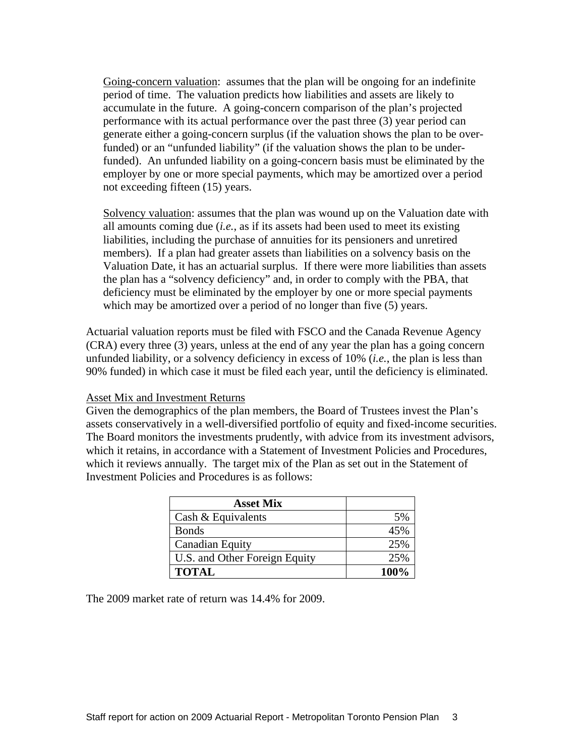Going-concern valuation: assumes that the plan will be ongoing for an indefinite period of time. The valuation predicts how liabilities and assets are likely to accumulate in the future. A going-concern comparison of the plan's projected performance with its actual performance over the past three (3) year period can generate either a going-concern surplus (if the valuation shows the plan to be overfunded) or an "unfunded liability" (if the valuation shows the plan to be underfunded). An unfunded liability on a going-concern basis must be eliminated by the employer by one or more special payments, which may be amortized over a period not exceeding fifteen (15) years.

Solvency valuation: assumes that the plan was wound up on the Valuation date with all amounts coming due (*i.e.*, as if its assets had been used to meet its existing liabilities, including the purchase of annuities for its pensioners and unretired members). If a plan had greater assets than liabilities on a solvency basis on the Valuation Date, it has an actuarial surplus. If there were more liabilities than assets the plan has a "solvency deficiency" and, in order to comply with the PBA, that deficiency must be eliminated by the employer by one or more special payments which may be amortized over a period of no longer than five (5) years.

Actuarial valuation reports must be filed with FSCO and the Canada Revenue Agency (CRA) every three (3) years, unless at the end of any year the plan has a going concern unfunded liability, or a solvency deficiency in excess of 10% (*i.e.*, the plan is less than 90% funded) in which case it must be filed each year, until the deficiency is eliminated.

#### Asset Mix and Investment Returns

Given the demographics of the plan members, the Board of Trustees invest the Plan's assets conservatively in a well-diversified portfolio of equity and fixed-income securities. The Board monitors the investments prudently, with advice from its investment advisors, which it retains, in accordance with a Statement of Investment Policies and Procedures, which it reviews annually. The target mix of the Plan as set out in the Statement of Investment Policies and Procedures is as follows:

| <b>Asset Mix</b>                                                                                |      |
|-------------------------------------------------------------------------------------------------|------|
| Cash & Equivalents                                                                              |      |
| . Bonds                                                                                         |      |
| Canadian Equi                                                                                   |      |
| $\overline{\phantom{a}}$<br>U.S. and Other Foreign I<br>$\frac{v_{\text{tot}}}{v_{\text{tot}}}$ | _∩שר |
| <b>TOTAL</b>                                                                                    | 100% |

The 2009 market rate of return was 14.4% for 2009.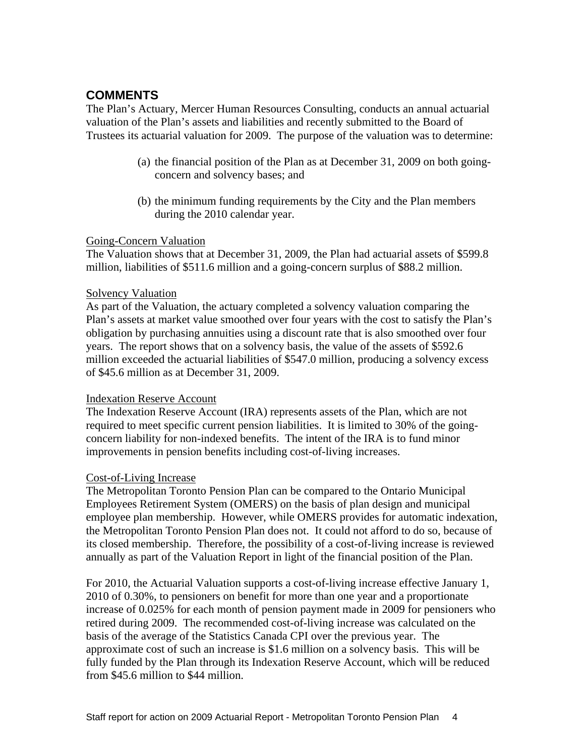### **COMMENTS**

The Plan's Actuary, Mercer Human Resources Consulting, conducts an annual actuarial valuation of the Plan's assets and liabilities and recently submitted to the Board of Trustees its actuarial valuation for 2009. The purpose of the valuation was to determine:

- (a) the financial position of the Plan as at December 31, 2009 on both going concern and solvency bases; and
- (b) the minimum funding requirements by the City and the Plan members during the 2010 calendar year.

#### Going-Concern Valuation

The Valuation shows that at December 31, 2009, the Plan had actuarial assets of \$599.8 million, liabilities of \$511.6 million and a going-concern surplus of \$88.2 million.

#### Solvency Valuation Solvency Valuation

As part of the Valuation, the actuary completed a solvency valuation comparing the Plan's assets at market value smoothed over four years with the cost to satisfy the Plan's obligation by purchasing annuities using a discount rate that is also smoothed over four years. The report shows that on a solvency basis, the value of the assets of \$592.6 million exceeded the actuarial liabilities of \$547.0 million, producing a solvency excess of \$45.6 million as at December 31, 2009.

#### Indexation Reserve Account

The Indexation Reserve Account (IRA) represents assets of the Plan, which are not required to meet specific current pension liabilities. It is limited to 30% of the going concern liability for non-indexed benefits. The intent of the IRA is to fund minor improvements in pension benefits including cost-of-living increases.

#### Cost-of-Living Increase

The Metropolitan Toronto Pension Plan can be compared to the Ontario Municipal Employees Retirement System (OMERS) on the basis of plan design and municipal employee plan membership. However, while OMERS provides for automatic indexation, the Metropolitan Toronto Pension Plan does not. It could not afford to do so, because of its closed membership. Therefore, the possibility of a cost-of-living increase is reviewed annually as part of the Valuation Report in light of the financial position of the Plan.

For 2010, the Actuarial Valuation supports a cost-of-living increase effective January 1, 2010 of 0.30%, to pensioners on benefit for more than one year and a proportionate increase of 0.025% for each month of pension payment made in 2009 for pensioners who retired during 2009. The recommended cost-of-living increase was calculated on the basis of the average of the Statistics Canada CPI over the previous year. The approximate cost of such an increase is \$1.6 million on a solvency basis. This will be fully funded by the Plan through its Indexation Reserve Account, which will be reduced from \$45.6 million to \$44 million.